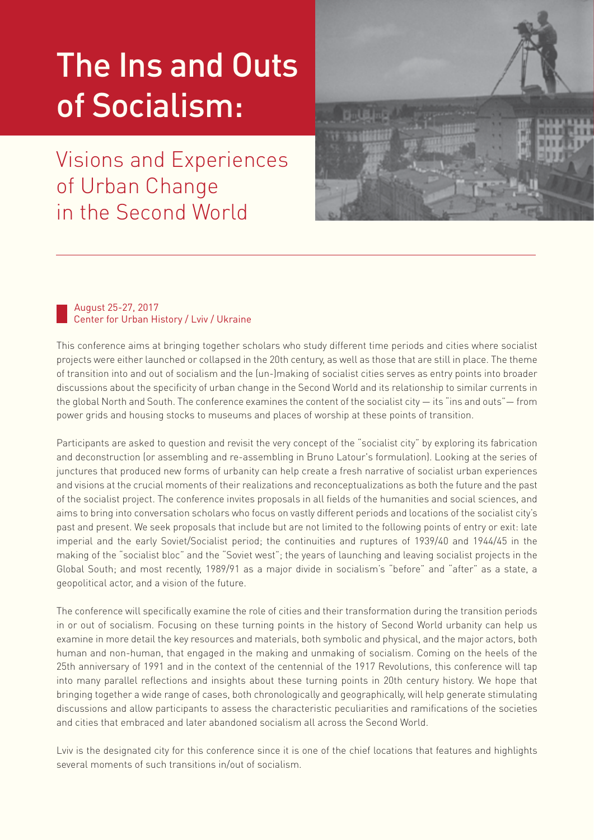# The Ins and Outs of Socialism:

Visions and Experiences of Urban Change in the Second World



#### August 25-27, 2017 Center for Urban History / Lviv / Ukraine

This conference aims at bringing together scholars who study different time periods and cities where socialist projects were either launched or collapsed in the 20th century, as well as those that are still in place. The theme of transition into and out of socialism and the (un-)making of socialist cities serves as entry points into broader discussions about the specificity of urban change in the Second World and its relationship to similar currents in the global North and South. The conference examines the content of the socialist city — its "ins and outs"— from power grids and housing stocks to museums and places of worship at these points of transition.

Participants are asked to question and revisit the very concept of the "socialist city" by exploring its fabrication and deconstruction (or assembling and re-assembling in Bruno Latour's formulation). Looking at the series of junctures that produced new forms of urbanity can help create a fresh narrative of socialist urban experiences and visions at the crucial moments of their realizations and reconceptualizations as both the future and the past of the socialist project. The conference invites proposals in all fields of the humanities and social sciences, and aims to bring into conversation scholars who focus on vastly different periods and locations of the socialist city's past and present. We seek proposals that include but are not limited to the following points of entry or exit: late imperial and the early Soviet/Socialist period; the continuities and ruptures of 1939/40 and 1944/45 in the making of the "socialist bloc" and the "Soviet west"; the years of launching and leaving socialist projects in the Global South; and most recently, 1989/91 as a major divide in socialism's "before" and "after" as a state, a geopolitical actor, and a vision of the future.

The conference will specifically examine the role of cities and their transformation during the transition periods in or out of socialism. Focusing on these turning points in the history of Second World urbanity can help us examine in more detail the key resources and materials, both symbolic and physical, and the major actors, both human and non-human, that engaged in the making and unmaking of socialism. Coming on the heels of the 25th anniversary of 1991 and in the context of the centennial of the 1917 Revolutions, this conference will tap into many parallel reflections and insights about these turning points in 20th century history. We hope that bringing together a wide range of cases, both chronologically and geographically, will help generate stimulating discussions and allow participants to assess the characteristic peculiarities and ramifications of the societies and cities that embraced and later abandoned socialism all across the Second World.

Lviv is the designated city for this conference since it is one of the chief locations that features and highlights several moments of such transitions in/out of socialism.